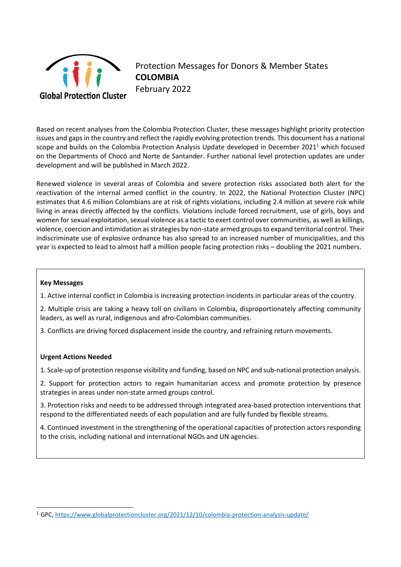

Protection Messages for Donors & Member States **COLOMBIA** February 2022

Based on recent analyses from the Colombia Protection Cluster, these messages highlight priority protection issues and gaps in the country and reflect the rapidly evolving protection trends. This document has a national scope and builds on the Colombia Protection Analysis Update developed in December 2021<sup>1</sup> which focused on the Departments of Chocó and Norte de Santander. Further national level protection updates are under development and will be published in March 2022.

Renewed violence in several areas of Colombia and severe protection risks associated both alert for the reactivation of the internal armed conflict in the country. In 2022, the National Protection Cluster (NPC) estimates that 4.6 million Colombians are at risk of rights violations, including 2.4 million at severe risk while living in areas directly affected by the conflicts. Violations include forced recruitment, use of girls, boys and women for sexual exploitation, sexual violence as a tactic to exert control over communities, as well as killings, violence, coercion and intimidation as strategies by non-state armed groups to expand territorial control. Their indiscriminate use of explosive ordnance has also spread to an increased number of municipalities, and this year is expected to lead to almost half a million people facing protection risks – doubling the 2021 numbers.

## **Key Messages**

1. Active internal conflict in Colombia is increasing protection incidents in particular areas of the country.

2. Multiple crisis are taking a heavy toll on civilians in Colombia, disproportionately affecting community leaders, as well as rural, indigenous and afro-Colombian communities.

3. Conflicts are driving forced displacement inside the country, and refraining return movements.

## **Urgent Actions Needed**

1. Scale-up of protection response visibility and funding, based on NPC and sub-national protection analysis.

2. Support for protection actors to regain humanitarian access and promote protection by presence strategies in areas under non-state armed groups control.

3. Protection risks and needs to be addressed through integrated area-based protection interventions that respond to the differentiated needs of each population and are fully funded by flexible streams.

4. Continued investment in the strengthening of the operational capacities of protection actors responding to the crisis, including national and international NGOs and UN agencies.

<sup>1</sup> GPC,<https://www.globalprotectioncluster.org/2021/12/10/colombia-protection-analysis-update/>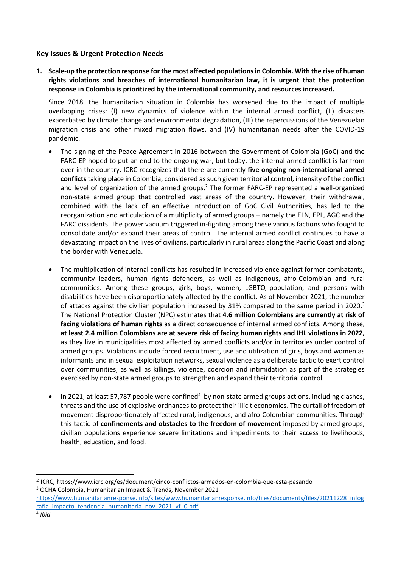## **Key Issues & Urgent Protection Needs**

**1. Scale-up the protection response for the most affected populations in Colombia. With the rise of human rights violations and breaches of international humanitarian law, it is urgent that the protection response in Colombia is prioritized by the international community, and resources increased.**

Since 2018, the humanitarian situation in Colombia has worsened due to the impact of multiple overlapping crises: (I) new dynamics of violence within the internal armed conflict, (II) disasters exacerbated by climate change and environmental degradation, (III) the repercussions of the Venezuelan migration crisis and other mixed migration flows, and (IV) humanitarian needs after the COVID-19 pandemic.

- The signing of the Peace Agreement in 2016 between the Government of Colombia (GoC) and the FARC-EP hoped to put an end to the ongoing war, but today, the internal armed conflict is far from over in the country. ICRC recognizes that there are currently **five ongoing non-international armed conflicts** taking place in Colombia, considered as such given territorial control, intensity of the conflict and level of organization of the armed groups.<sup>2</sup> The former FARC-EP represented a well-organized non-state armed group that controlled vast areas of the country. However, their withdrawal, combined with the lack of an effective introduction of GoC Civil Authorities, has led to the reorganization and articulation of a multiplicity of armed groups – namely the ELN, EPL, AGC and the FARC dissidents. The power vacuum triggered in-fighting among these various factions who fought to consolidate and/or expand their areas of control. The internal armed conflict continues to have a devastating impact on the lives of civilians, particularly in rural areas along the Pacific Coast and along the border with Venezuela.
- The multiplication of internal conflicts has resulted in increased violence against former combatants, community leaders, human rights defenders, as well as indigenous, afro-Colombian and rural communities. Among these groups, girls, boys, women, LGBTQ population, and persons with disabilities have been disproportionately affected by the conflict. As of November 2021, the number of attacks against the civilian population increased by 31% compared to the same period in 2020.<sup>3</sup> The National Protection Cluster (NPC) estimates that **4.6 million Colombians are currently at risk of facing violations of human rights** as a direct consequence of internal armed conflicts. Among these, **at least 2.4 million Colombians are at severe risk of facing human rights and IHL violations in 2022,**  as they live in municipalities most affected by armed conflicts and/or in territories under control of armed groups. Violations include forced recruitment, use and utilization of girls, boys and women as informants and in sexual exploitation networks, sexual violence as a deliberate tactic to exert control over communities, as well as killings, violence, coercion and intimidation as part of the strategies exercised by non-state armed groups to strengthen and expand their territorial control.
- In 2021, at least 57,787 people were confined<sup>4</sup> by non-state armed groups actions, including clashes, threats and the use of explosive ordnances to protect their illicit economies. The curtail of freedom of movement disproportionately affected rural, indigenous, and afro-Colombian communities. Through this tactic of **confinements and obstacles to the freedom of movement** imposed by armed groups, civilian populations experience severe limitations and impediments to their access to livelihoods, health, education, and food.

<sup>2</sup> ICRC, <https://www.icrc.org/es/document/cinco-conflictos-armados-en-colombia-que-esta-pasando> <sup>3</sup> OCHA Colombia, Humanitarian Impact & Trends, November 2021

[https://www.humanitarianresponse.info/sites/www.humanitarianresponse.info/files/documents/files/20211228\\_infog](https://www.humanitarianresponse.info/sites/www.humanitarianresponse.info/files/documents/files/20211228_infografia_impacto_tendencia_humanitaria_nov_2021_vf_0.pdf) [rafia\\_impacto\\_tendencia\\_humanitaria\\_nov\\_2021\\_vf\\_0.pdf](https://www.humanitarianresponse.info/sites/www.humanitarianresponse.info/files/documents/files/20211228_infografia_impacto_tendencia_humanitaria_nov_2021_vf_0.pdf)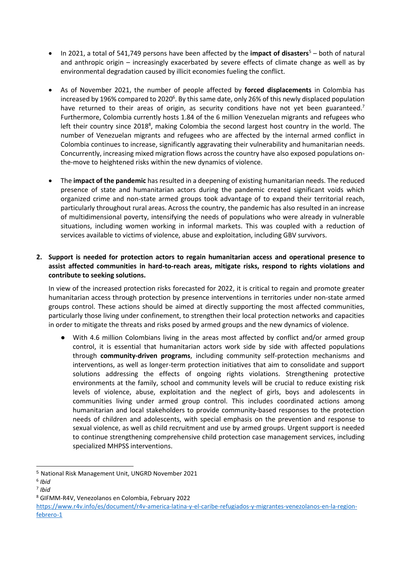- In 2021, a total of 541,749 persons have been affected by the **impact of disasters**<sup>5</sup> both of natural and anthropic origin – increasingly exacerbated by severe effects of climate change as well as by environmental degradation caused by illicit economies fueling the conflict.
- As of November 2021, the number of people affected by **forced displacements** in Colombia has increased by 196% compared to 2020 $^{\rm 6}$ . By this same date, only 26% of this newly displaced population have returned to their areas of origin, as security conditions have not yet been guaranteed.<sup>7</sup> Furthermore, Colombia currently hosts 1.84 of the 6 million Venezuelan migrants and refugees who left their country since 2018<sup>8</sup>, making Colombia the second largest host country in the world. The number of Venezuelan migrants and refugees who are affected by the internal armed conflict in Colombia continues to increase, significantly aggravating their vulnerability and humanitarian needs. Concurrently, increasing mixed migration flows across the country have also exposed populations onthe-move to heightened risks within the new dynamics of violence.
- The **impact of the pandemic** has resulted in a deepening of existing humanitarian needs. The reduced presence of state and humanitarian actors during the pandemic created significant voids which organized crime and non-state armed groups took advantage of to expand their territorial reach, particularly throughout rural areas. Across the country, the pandemic has also resulted in an increase of multidimensional poverty, intensifying the needs of populations who were already in vulnerable situations, including women working in informal markets. This was coupled with a reduction of services available to victims of violence, abuse and exploitation, including GBV survivors.

## **2. Support is needed for protection actors to regain humanitarian access and operational presence to assist affected communities in hard-to-reach areas, mitigate risks, respond to rights violations and contribute to seeking solutions.**

In view of the increased protection risks forecasted for 2022, it is critical to regain and promote greater humanitarian access through protection by presence interventions in territories under non-state armed groups control. These actions should be aimed at directly supporting the most affected communities, particularly those living under confinement, to strengthen their local protection networks and capacities in order to mitigate the threats and risks posed by armed groups and the new dynamics of violence.

With 4.6 million Colombians living in the areas most affected by conflict and/or armed group control, it is essential that humanitarian actors work side by side with affected populations through **community-driven programs**, including community self-protection mechanisms and interventions, as well as longer-term protection initiatives that aim to consolidate and support solutions addressing the effects of ongoing rights violations. Strengthening protective environments at the family, school and community levels will be crucial to reduce existing risk levels of violence, abuse, exploitation and the neglect of girls, boys and adolescents in communities living under armed group control. This includes coordinated actions among humanitarian and local stakeholders to provide community-based responses to the protection needs of children and adolescents, with special emphasis on the prevention and response to sexual violence, as well as child recruitment and use by armed groups. Urgent support is needed to continue strengthening comprehensive child protection case management services, including specialized MHPSS interventions.

<sup>5</sup> National Risk Management Unit, UNGRD November 2021

<sup>6</sup> *Ibid*

<sup>7</sup> *Ibid*

<sup>8</sup> GIFMM-R4V, Venezolanos en Colombia, February 2022

[https://www.r4v.info/es/document/r4v-america-latina-y-el-caribe-refugiados-y-migrantes-venezolanos-en-la-region](https://www.r4v.info/es/document/r4v-america-latina-y-el-caribe-refugiados-y-migrantes-venezolanos-en-la-region-febrero-1)[febrero-1](https://www.r4v.info/es/document/r4v-america-latina-y-el-caribe-refugiados-y-migrantes-venezolanos-en-la-region-febrero-1)